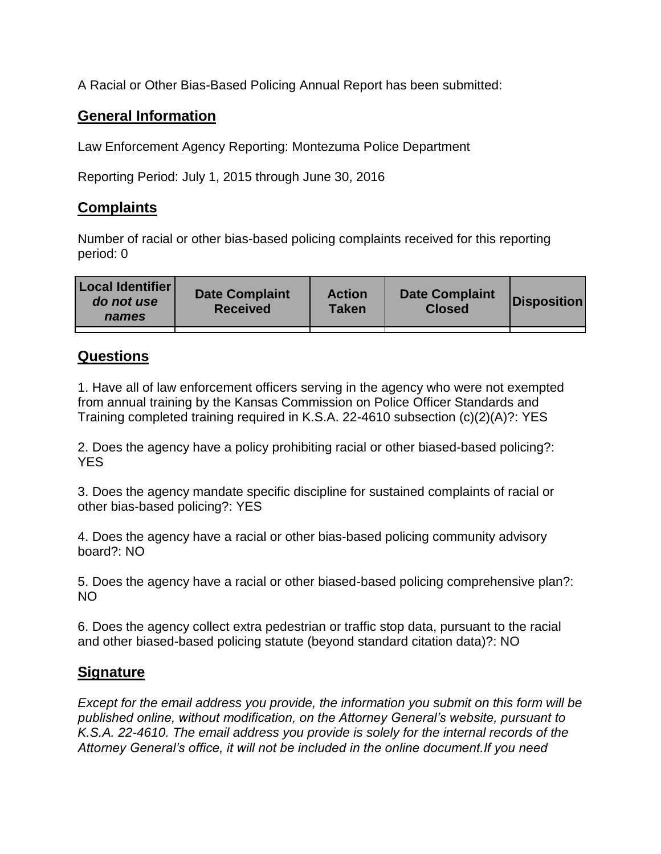A Racial or Other Bias-Based Policing Annual Report has been submitted:

## **General Information**

Law Enforcement Agency Reporting: Montezuma Police Department

Reporting Period: July 1, 2015 through June 30, 2016

## **Complaints**

Number of racial or other bias-based policing complaints received for this reporting period: 0

| <b>Local Identifier</b><br>do not use<br>names | <b>Date Complaint</b><br><b>Received</b> | <b>Action</b><br><b>Taken</b> | <b>Date Complaint</b><br><b>Closed</b> | Disposition |
|------------------------------------------------|------------------------------------------|-------------------------------|----------------------------------------|-------------|
|                                                |                                          |                               |                                        |             |

## **Questions**

1. Have all of law enforcement officers serving in the agency who were not exempted from annual training by the Kansas Commission on Police Officer Standards and Training completed training required in K.S.A. 22-4610 subsection (c)(2)(A)?: YES

2. Does the agency have a policy prohibiting racial or other biased-based policing?: YES

3. Does the agency mandate specific discipline for sustained complaints of racial or other bias-based policing?: YES

4. Does the agency have a racial or other bias-based policing community advisory board?: NO

5. Does the agency have a racial or other biased-based policing comprehensive plan?: NO

6. Does the agency collect extra pedestrian or traffic stop data, pursuant to the racial and other biased-based policing statute (beyond standard citation data)?: NO

## **Signature**

*Except for the email address you provide, the information you submit on this form will be published online, without modification, on the Attorney General's website, pursuant to K.S.A. 22-4610. The email address you provide is solely for the internal records of the Attorney General's office, it will not be included in the online document.If you need*